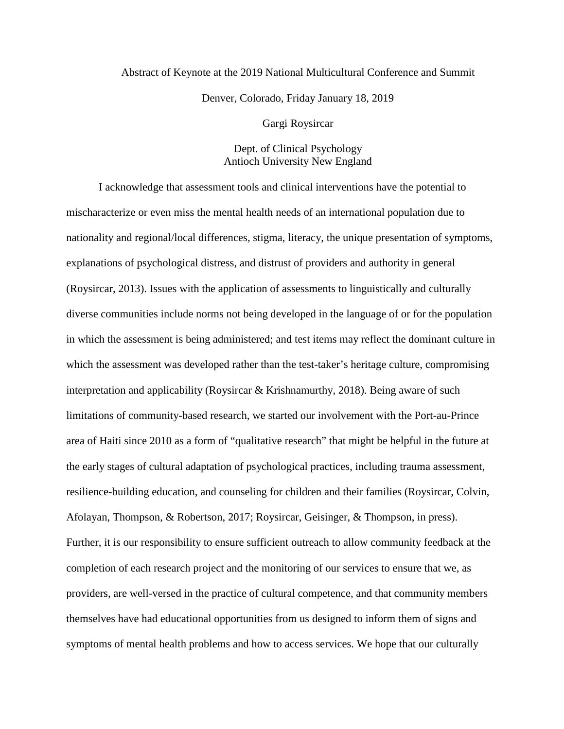## Abstract of Keynote at the 2019 National Multicultural Conference and Summit Denver, Colorado, Friday January 18, 2019

Gargi Roysircar

## Dept. of Clinical Psychology Antioch University New England

I acknowledge that assessment tools and clinical interventions have the potential to mischaracterize or even miss the mental health needs of an international population due to nationality and regional/local differences, stigma, literacy, the unique presentation of symptoms, explanations of psychological distress, and distrust of providers and authority in general (Roysircar, 2013). Issues with the application of assessments to linguistically and culturally diverse communities include norms not being developed in the language of or for the population in which the assessment is being administered; and test items may reflect the dominant culture in which the assessment was developed rather than the test-taker's heritage culture, compromising interpretation and applicability (Roysircar & Krishnamurthy, 2018). Being aware of such limitations of community-based research, we started our involvement with the Port-au-Prince area of Haiti since 2010 as a form of "qualitative research" that might be helpful in the future at the early stages of cultural adaptation of psychological practices, including trauma assessment, resilience-building education, and counseling for children and their families (Roysircar, Colvin, Afolayan, Thompson, & Robertson, 2017; Roysircar, Geisinger, & Thompson, in press). Further, it is our responsibility to ensure sufficient outreach to allow community feedback at the completion of each research project and the monitoring of our services to ensure that we, as providers, are well-versed in the practice of cultural competence, and that community members themselves have had educational opportunities from us designed to inform them of signs and symptoms of mental health problems and how to access services. We hope that our culturally